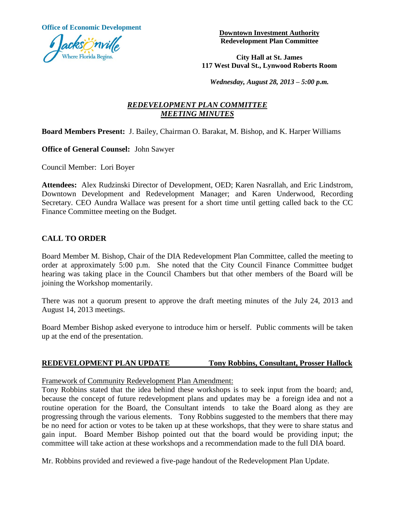**Office of Economic Development**



**Downtown Investment Authority Redevelopment Plan Committee**

**City Hall at St. James 117 West Duval St., Lynwood Roberts Room**

*Wednesday, August 28, 2013 – 5:00 p.m.*

# *REDEVELOPMENT PLAN COMMITTEE MEETING MINUTES*

### **Board Members Present:** J. Bailey, Chairman O. Barakat, M. Bishop, and K. Harper Williams

**Office of General Counsel:** John Sawyer

Council Member: Lori Boyer

**Attendees:** Alex Rudzinski Director of Development, OED; Karen Nasrallah, and Eric Lindstrom, Downtown Development and Redevelopment Manager; and Karen Underwood, Recording Secretary. CEO Aundra Wallace was present for a short time until getting called back to the CC Finance Committee meeting on the Budget.

### **CALL TO ORDER**

Board Member M. Bishop, Chair of the DIA Redevelopment Plan Committee, called the meeting to order at approximately 5:00 p.m. She noted that the City Council Finance Committee budget hearing was taking place in the Council Chambers but that other members of the Board will be joining the Workshop momentarily.

There was not a quorum present to approve the draft meeting minutes of the July 24, 2013 and August 14, 2013 meetings.

Board Member Bishop asked everyone to introduce him or herself. Public comments will be taken up at the end of the presentation.

#### **REDEVELOPMENT PLAN UPDATE Tony Robbins, Consultant, Prosser Hallock**

Framework of Community Redevelopment Plan Amendment:

Tony Robbins stated that the idea behind these workshops is to seek input from the board; and, because the concept of future redevelopment plans and updates may be a foreign idea and not a routine operation for the Board, the Consultant intends to take the Board along as they are progressing through the various elements. Tony Robbins suggested to the members that there may be no need for action or votes to be taken up at these workshops, that they were to share status and gain input. Board Member Bishop pointed out that the board would be providing input; the committee will take action at these workshops and a recommendation made to the full DIA board.

Mr. Robbins provided and reviewed a five-page handout of the Redevelopment Plan Update.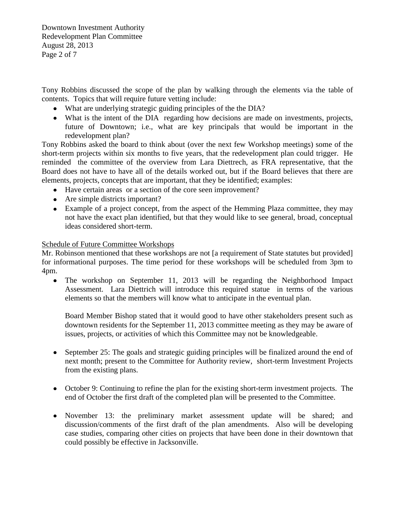Downtown Investment Authority Redevelopment Plan Committee August 28, 2013 Page 2 of 7

Tony Robbins discussed the scope of the plan by walking through the elements via the table of contents. Topics that will require future vetting include:

- What are underlying strategic guiding principles of the the DIA?
- What is the intent of the DIA regarding how decisions are made on investments, projects, future of Downtown; i.e., what are key principals that would be important in the redevelopment plan?

Tony Robbins asked the board to think about (over the next few Workshop meetings) some of the short-term projects within six months to five years, that the redevelopment plan could trigger. He reminded the committee of the overview from Lara Diettrech, as FRA representative, that the Board does not have to have all of the details worked out, but if the Board believes that there are elements, projects, concepts that are important, that they be identified; examples:

- Have certain areas or a section of the core seen improvement?
- Are simple districts important?
- Example of a project concept, from the aspect of the Hemming Plaza committee, they may not have the exact plan identified, but that they would like to see general, broad, conceptual ideas considered short-term.

### Schedule of Future Committee Workshops

Mr. Robinson mentioned that these workshops are not [a requirement of State statutes but provided] for informational purposes. The time period for these workshops will be scheduled from 3pm to 4pm.

• The workshop on September 11, 2013 will be regarding the Neighborhood Impact Assessment. Lara Diettrich will introduce this required statue in terms of the various elements so that the members will know what to anticipate in the eventual plan.

Board Member Bishop stated that it would good to have other stakeholders present such as downtown residents for the September 11, 2013 committee meeting as they may be aware of issues, projects, or activities of which this Committee may not be knowledgeable.

- September 25: The goals and strategic guiding principles will be finalized around the end of  $\bullet$ next month; present to the Committee for Authority review, short-term Investment Projects from the existing plans.
- October 9: Continuing to refine the plan for the existing short-term investment projects. The end of October the first draft of the completed plan will be presented to the Committee.
- November 13: the preliminary market assessment update will be shared; and discussion/comments of the first draft of the plan amendments. Also will be developing case studies, comparing other cities on projects that have been done in their downtown that could possibly be effective in Jacksonville.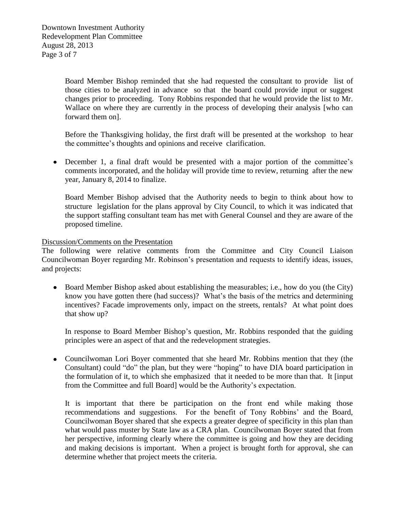Board Member Bishop reminded that she had requested the consultant to provide list of those cities to be analyzed in advance so that the board could provide input or suggest changes prior to proceeding. Tony Robbins responded that he would provide the list to Mr. Wallace on where they are currently in the process of developing their analysis [who can forward them on].

Before the Thanksgiving holiday, the first draft will be presented at the workshop to hear the committee's thoughts and opinions and receive clarification.

December 1, a final draft would be presented with a major portion of the committee's comments incorporated, and the holiday will provide time to review, returning after the new year, January 8, 2014 to finalize.

Board Member Bishop advised that the Authority needs to begin to think about how to structure legislation for the plans approval by City Council, to which it was indicated that the support staffing consultant team has met with General Counsel and they are aware of the proposed timeline.

#### Discussion/Comments on the Presentation

The following were relative comments from the Committee and City Council Liaison Councilwoman Boyer regarding Mr. Robinson's presentation and requests to identify ideas, issues, and projects:

• Board Member Bishop asked about establishing the measurables; i.e., how do you (the City) know you have gotten there (had success)? What's the basis of the metrics and determining incentives? Facade improvements only, impact on the streets, rentals? At what point does that show up?

In response to Board Member Bishop's question, Mr. Robbins responded that the guiding principles were an aspect of that and the redevelopment strategies.

• Councilwoman Lori Boyer commented that she heard Mr. Robbins mention that they (the Consultant) could "do" the plan, but they were "hoping" to have DIA board participation in the formulation of it, to which she emphasized that it needed to be more than that. It [input from the Committee and full Board] would be the Authority's expectation.

It is important that there be participation on the front end while making those recommendations and suggestions. For the benefit of Tony Robbins' and the Board, Councilwoman Boyer shared that she expects a greater degree of specificity in this plan than what would pass muster by State law as a CRA plan. Councilwoman Boyer stated that from her perspective, informing clearly where the committee is going and how they are deciding and making decisions is important. When a project is brought forth for approval, she can determine whether that project meets the criteria.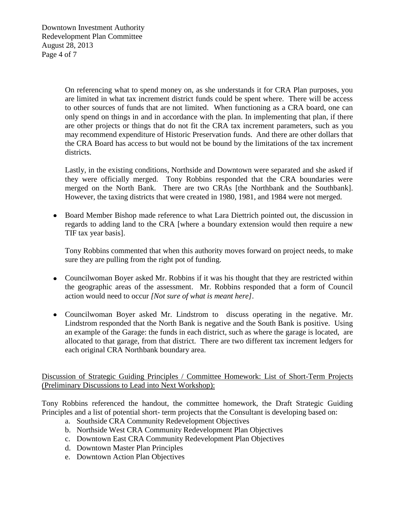Downtown Investment Authority Redevelopment Plan Committee August 28, 2013 Page 4 of 7

> On referencing what to spend money on, as she understands it for CRA Plan purposes, you are limited in what tax increment district funds could be spent where. There will be access to other sources of funds that are not limited. When functioning as a CRA board, one can only spend on things in and in accordance with the plan. In implementing that plan, if there are other projects or things that do not fit the CRA tax increment parameters, such as you may recommend expenditure of Historic Preservation funds. And there are other dollars that the CRA Board has access to but would not be bound by the limitations of the tax increment districts.

> Lastly, in the existing conditions, Northside and Downtown were separated and she asked if they were officially merged. Tony Robbins responded that the CRA boundaries were merged on the North Bank. There are two CRAs [the Northbank and the Southbank]. However, the taxing districts that were created in 1980, 1981, and 1984 were not merged.

• Board Member Bishop made reference to what Lara Diettrich pointed out, the discussion in regards to adding land to the CRA [where a boundary extension would then require a new TIF tax year basis].

Tony Robbins commented that when this authority moves forward on project needs, to make sure they are pulling from the right pot of funding.

- Councilwoman Boyer asked Mr. Robbins if it was his thought that they are restricted within the geographic areas of the assessment. Mr. Robbins responded that a form of Council action would need to occur *[Not sure of what is meant here]*.
- Councilwoman Boyer asked Mr. Lindstrom to discuss operating in the negative. Mr. Lindstrom responded that the North Bank is negative and the South Bank is positive. Using an example of the Garage: the funds in each district, such as where the garage is located, are allocated to that garage, from that district. There are two different tax increment ledgers for each original CRA Northbank boundary area.

Discussion of Strategic Guiding Principles / Committee Homework: List of Short-Term Projects (Preliminary Discussions to Lead into Next Workshop):

Tony Robbins referenced the handout, the committee homework, the Draft Strategic Guiding Principles and a list of potential short- term projects that the Consultant is developing based on:

- a. Southside CRA Community Redevelopment Objectives
- b. Northside West CRA Community Redevelopment Plan Objectives
- c. Downtown East CRA Community Redevelopment Plan Objectives
- d. Downtown Master Plan Principles
- e. Downtown Action Plan Objectives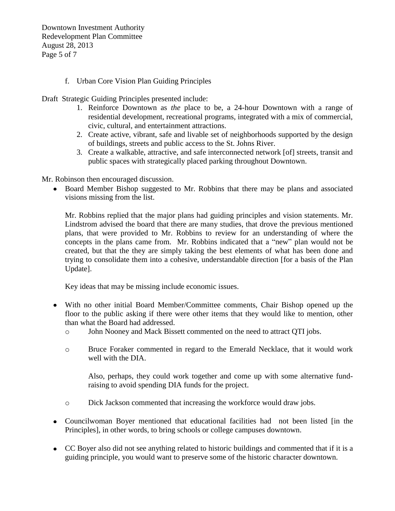Downtown Investment Authority Redevelopment Plan Committee August 28, 2013 Page 5 of 7

## f. Urban Core Vision Plan Guiding Principles

Draft Strategic Guiding Principles presented include:

- 1. Reinforce Downtown as *the* place to be, a 24-hour Downtown with a range of residential development, recreational programs, integrated with a mix of commercial, civic, cultural, and entertainment attractions.
- 2. Create active, vibrant, safe and livable set of neighborhoods supported by the design of buildings, streets and public access to the St. Johns River.
- 3. Create a walkable, attractive, and safe interconnected network [of] streets, transit and public spaces with strategically placed parking throughout Downtown.

Mr. Robinson then encouraged discussion.

 $\bullet$ Board Member Bishop suggested to Mr. Robbins that there may be plans and associated visions missing from the list.

Mr. Robbins replied that the major plans had guiding principles and vision statements. Mr. Lindstrom advised the board that there are many studies, that drove the previous mentioned plans, that were provided to Mr. Robbins to review for an understanding of where the concepts in the plans came from. Mr. Robbins indicated that a "new" plan would not be created, but that the they are simply taking the best elements of what has been done and trying to consolidate them into a cohesive, understandable direction [for a basis of the Plan Update].

Key ideas that may be missing include economic issues.

- With no other initial Board Member/Committee comments, Chair Bishop opened up the floor to the public asking if there were other items that they would like to mention, other than what the Board had addressed.
	- o John Nooney and Mack Bissett commented on the need to attract QTI jobs.
	- o Bruce Foraker commented in regard to the Emerald Necklace, that it would work well with the DIA.

Also, perhaps, they could work together and come up with some alternative fundraising to avoid spending DIA funds for the project.

- o Dick Jackson commented that increasing the workforce would draw jobs.
- Councilwoman Boyer mentioned that educational facilities had not been listed [in the Principles], in other words, to bring schools or college campuses downtown.
- CC Boyer also did not see anything related to historic buildings and commented that if it is a guiding principle, you would want to preserve some of the historic character downtown.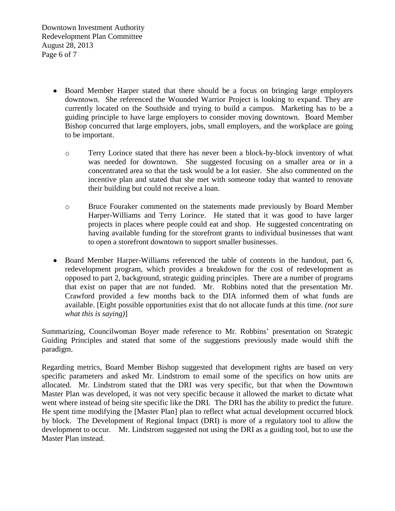Downtown Investment Authority Redevelopment Plan Committee August 28, 2013 Page 6 of 7

- Board Member Harper stated that there should be a focus on bringing large employers downtown. She referenced the Wounded Warrior Project is looking to expand. They are currently located on the Southside and trying to build a campus. Marketing has to be a guiding principle to have large employers to consider moving downtown. Board Member Bishop concurred that large employers, jobs, small employers, and the workplace are going to be important.
	- o Terry Lorince stated that there has never been a block-by-block inventory of what was needed for downtown. She suggested focusing on a smaller area or in a concentrated area so that the task would be a lot easier. She also commented on the incentive plan and stated that she met with someone today that wanted to renovate their building but could not receive a loan.
	- o Bruce Fouraker commented on the statements made previously by Board Member Harper-Williams and Terry Lorince. He stated that it was good to have larger projects in places where people could eat and shop. He suggested concentrating on having available funding for the storefront grants to individual businesses that want to open a storefront downtown to support smaller businesses.
- Board Member Harper-Williams referenced the table of contents in the handout, part 6, redevelopment program, which provides a breakdown for the cost of redevelopment as opposed to part 2, background, strategic guiding principles. There are a number of programs that exist on paper that are not funded. Mr. Robbins noted that the presentation Mr. Crawford provided a few months back to the DIA informed them of what funds are available. [Eight possible opportunities exist that do not allocate funds at this time. *(not sure what this is saying)*]

Summarizing, Councilwoman Boyer made reference to Mr. Robbins' presentation on Strategic Guiding Principles and stated that some of the suggestions previously made would shift the paradigm.

Regarding metrics, Board Member Bishop suggested that development rights are based on very specific parameters and asked Mr. Lindstrom to email some of the specifics on how units are allocated. Mr. Lindstrom stated that the DRI was very specific, but that when the Downtown Master Plan was developed, it was not very specific because it allowed the market to dictate what went where instead of being site specific like the DRI. The DRI has the ability to predict the future. He spent time modifying the [Master Plan] plan to reflect what actual development occurred block by block. The Development of Regional Impact (DRI) is more of a regulatory tool to allow the development to occur. Mr. Lindstrom suggested not using the DRI as a guiding tool, but to use the Master Plan instead.